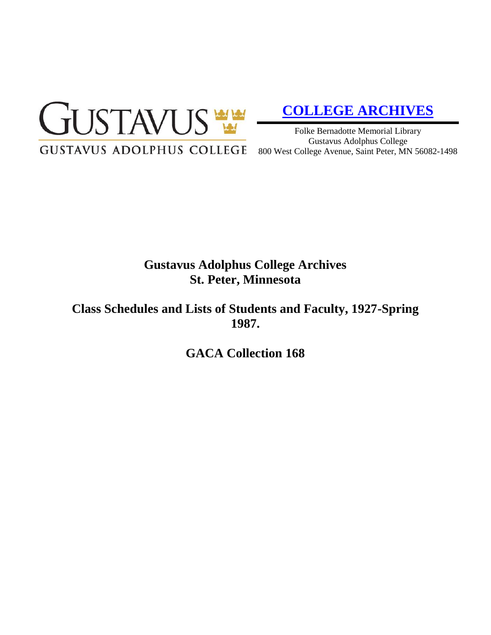

# **[COLLEGE ARCHIVES](http://gustavus.edu/academics/library/archives/)**

Folke Bernadotte Memorial Library Gustavus Adolphus College 800 West College Avenue, Saint Peter, MN 56082-1498

# **Gustavus Adolphus College Archives St. Peter, Minnesota**

**Class Schedules and Lists of Students and Faculty, 1927-Spring 1987.**

**GACA Collection 168**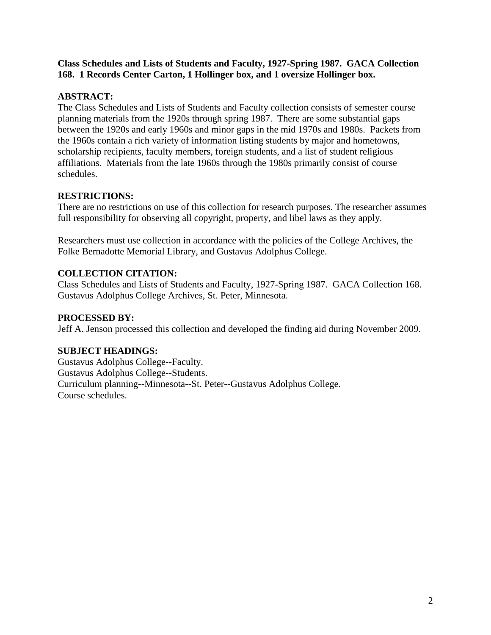#### **Class Schedules and Lists of Students and Faculty, 1927-Spring 1987. GACA Collection 168. 1 Records Center Carton, 1 Hollinger box, and 1 oversize Hollinger box.**

### **ABSTRACT:**

The Class Schedules and Lists of Students and Faculty collection consists of semester course planning materials from the 1920s through spring 1987. There are some substantial gaps between the 1920s and early 1960s and minor gaps in the mid 1970s and 1980s. Packets from the 1960s contain a rich variety of information listing students by major and hometowns, scholarship recipients, faculty members, foreign students, and a list of student religious affiliations. Materials from the late 1960s through the 1980s primarily consist of course schedules.

# **RESTRICTIONS:**

There are no restrictions on use of this collection for research purposes. The researcher assumes full responsibility for observing all copyright, property, and libel laws as they apply.

Researchers must use collection in accordance with the policies of the College Archives, the Folke Bernadotte Memorial Library, and Gustavus Adolphus College.

# **COLLECTION CITATION:**

Class Schedules and Lists of Students and Faculty, 1927-Spring 1987. GACA Collection 168. Gustavus Adolphus College Archives, St. Peter, Minnesota.

## **PROCESSED BY:**

Jeff A. Jenson processed this collection and developed the finding aid during November 2009.

### **SUBJECT HEADINGS:**

Gustavus Adolphus College--Faculty. Gustavus Adolphus College--Students. Curriculum planning--Minnesota--St. Peter--Gustavus Adolphus College. Course schedules.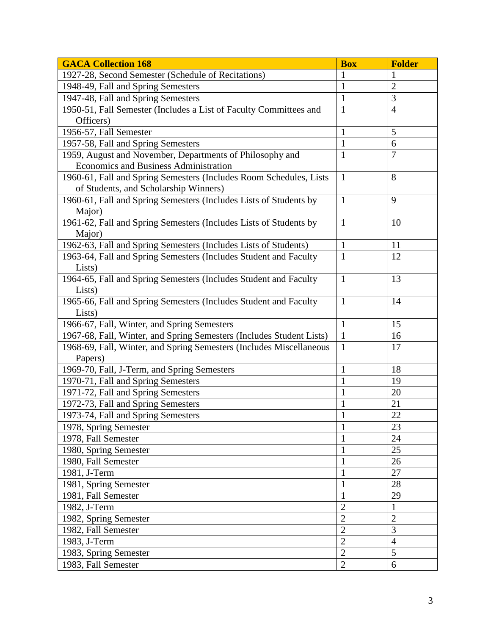| <b>GACA Collection 168</b>                                           | <b>Box</b>     | <b>Folder</b>  |
|----------------------------------------------------------------------|----------------|----------------|
| 1927-28, Second Semester (Schedule of Recitations)                   | 1              | 1              |
| 1948-49, Fall and Spring Semesters                                   | 1              | $\overline{2}$ |
| 1947-48, Fall and Spring Semesters                                   | $\mathbf{1}$   | 3              |
| 1950-51, Fall Semester (Includes a List of Faculty Committees and    | $\mathbf{1}$   | $\overline{4}$ |
| Officers)                                                            |                |                |
| 1956-57, Fall Semester                                               | $\mathbf{1}$   | 5              |
| 1957-58, Fall and Spring Semesters                                   | $\mathbf{1}$   | 6              |
| 1959, August and November, Departments of Philosophy and             | $\mathbf{1}$   | $\overline{7}$ |
| Economics and Business Administration                                |                |                |
| 1960-61, Fall and Spring Semesters (Includes Room Schedules, Lists   | $\mathbf{1}$   | 8              |
| of Students, and Scholarship Winners)                                |                |                |
| 1960-61, Fall and Spring Semesters (Includes Lists of Students by    | $\mathbf{1}$   | 9              |
| Major)                                                               |                |                |
| 1961-62, Fall and Spring Semesters (Includes Lists of Students by    | $\mathbf{1}$   | 10             |
| Major)                                                               |                |                |
| 1962-63, Fall and Spring Semesters (Includes Lists of Students)      | $\mathbf{1}$   | 11             |
| 1963-64, Fall and Spring Semesters (Includes Student and Faculty     | $\mathbf{1}$   | 12             |
| Lists)                                                               |                |                |
| 1964-65, Fall and Spring Semesters (Includes Student and Faculty     | $\mathbf{1}$   | 13             |
| Lists)                                                               |                |                |
| 1965-66, Fall and Spring Semesters (Includes Student and Faculty     | $\mathbf{1}$   | 14             |
| Lists)                                                               |                |                |
| 1966-67, Fall, Winter, and Spring Semesters                          | $\mathbf{1}$   | 15             |
| 1967-68, Fall, Winter, and Spring Semesters (Includes Student Lists) | $\mathbf{1}$   | 16             |
| 1968-69, Fall, Winter, and Spring Semesters (Includes Miscellaneous  | $\mathbf{1}$   | 17             |
| Papers)                                                              |                |                |
| 1969-70, Fall, J-Term, and Spring Semesters                          | $\mathbf{1}$   | 18             |
| 1970-71, Fall and Spring Semesters                                   | 1              | 19             |
| 1971-72, Fall and Spring Semesters                                   | $\mathbf{1}$   | 20             |
| 1972-73, Fall and Spring Semesters                                   | $\mathbf{1}$   | 21             |
| 1973-74, Fall and Spring Semesters                                   | $\mathbf{1}$   | 22             |
| 1978, Spring Semester                                                | 1              | 23             |
| 1978, Fall Semester                                                  |                | 24             |
| 1980, Spring Semester                                                | 1              | 25             |
| 1980, Fall Semester                                                  | $\mathbf{1}$   | 26             |
| 1981, J-Term                                                         | 1              | 27             |
| 1981, Spring Semester                                                | $\mathbf{1}$   | 28             |
| 1981, Fall Semester                                                  | $\mathbf{1}$   | 29             |
| 1982, J-Term                                                         | $\overline{2}$ | $\mathbf{1}$   |
| 1982, Spring Semester                                                | $\overline{2}$ | $\overline{2}$ |
| 1982, Fall Semester                                                  | $\overline{2}$ | $\overline{3}$ |
| 1983, J-Term                                                         | $\overline{2}$ | $\overline{4}$ |
| 1983, Spring Semester                                                | $\overline{2}$ | 5              |
| 1983, Fall Semester                                                  | $\overline{2}$ | 6              |